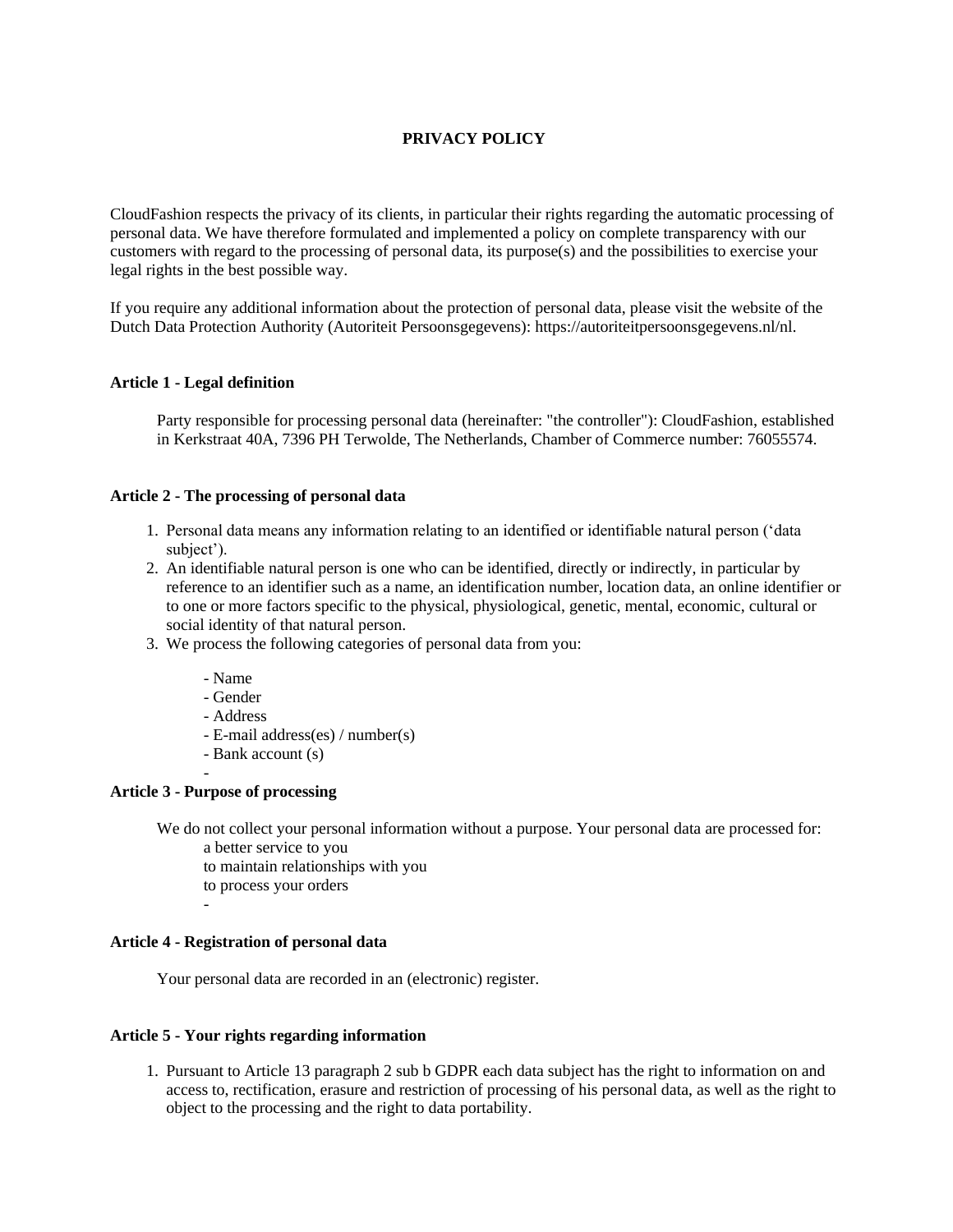# **PRIVACY POLICY**

CloudFashion respects the privacy of its clients, in particular their rights regarding the automatic processing of personal data. We have therefore formulated and implemented a policy on complete transparency with our customers with regard to the processing of personal data, its purpose(s) and the possibilities to exercise your legal rights in the best possible way.

If you require any additional information about the protection of personal data, please visit the website of the Dutch Data Protection Authority (Autoriteit Persoonsgegevens): https://autoriteitpersoonsgegevens.nl/nl.

## **Article 1 - Legal definition**

Party responsible for processing personal data (hereinafter: "the controller"): CloudFashion, established in Kerkstraat 40A, 7396 PH Terwolde, The Netherlands, Chamber of Commerce number: 76055574.

## **Article 2 - The processing of personal data**

- 1. Personal data means any information relating to an identified or identifiable natural person ('data subject').
- 2. An identifiable natural person is one who can be identified, directly or indirectly, in particular by reference to an identifier such as a name, an identification number, location data, an online identifier or to one or more factors specific to the physical, physiological, genetic, mental, economic, cultural or social identity of that natural person.
- 3. We process the following categories of personal data from you:
	- Name
	- Gender
	- Address
	- E-mail address(es) / number(s)
	- Bank account (s)

## **Article 3 - Purpose of processing**

-

-

We do not collect your personal information without a purpose. Your personal data are processed for:

- a better service to you to maintain relationships with you
- to process your orders
	-

# **Article 4 - Registration of personal data**

Your personal data are recorded in an (electronic) register.

## **Article 5 - Your rights regarding information**

1. Pursuant to Article 13 paragraph 2 sub b GDPR each data subject has the right to information on and access to, rectification, erasure and restriction of processing of his personal data, as well as the right to object to the processing and the right to data portability.